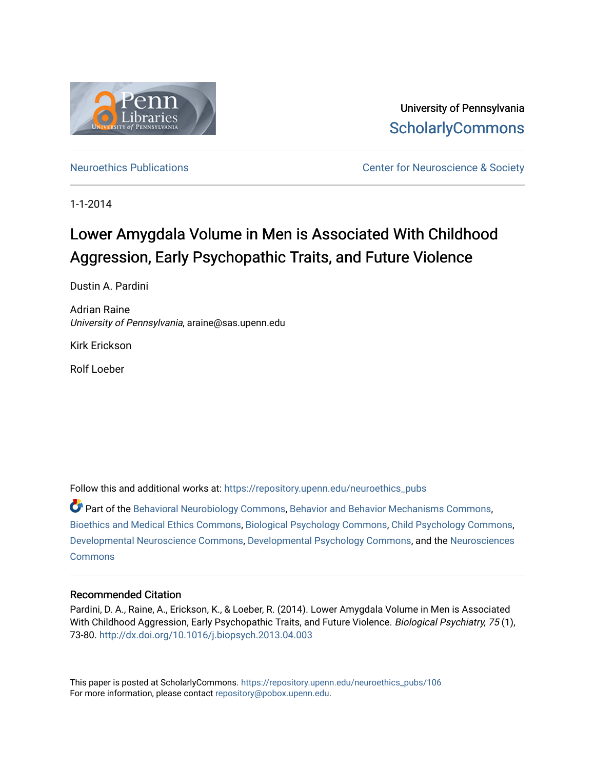

University of Pennsylvania **ScholarlyCommons** 

[Neuroethics Publications](https://repository.upenn.edu/neuroethics_pubs) **Neuroethics** Publications **Center for Neuroscience & Society** 

1-1-2014

# Lower Amygdala Volume in Men is Associated With Childhood Aggression, Early Psychopathic Traits, and Future Violence

Dustin A. Pardini

Adrian Raine University of Pennsylvania, araine@sas.upenn.edu

Kirk Erickson

Rolf Loeber

Follow this and additional works at: [https://repository.upenn.edu/neuroethics\\_pubs](https://repository.upenn.edu/neuroethics_pubs?utm_source=repository.upenn.edu%2Fneuroethics_pubs%2F106&utm_medium=PDF&utm_campaign=PDFCoverPages)

Part of the [Behavioral Neurobiology Commons,](http://network.bepress.com/hgg/discipline/56?utm_source=repository.upenn.edu%2Fneuroethics_pubs%2F106&utm_medium=PDF&utm_campaign=PDFCoverPages) [Behavior and Behavior Mechanisms Commons,](http://network.bepress.com/hgg/discipline/963?utm_source=repository.upenn.edu%2Fneuroethics_pubs%2F106&utm_medium=PDF&utm_campaign=PDFCoverPages) [Bioethics and Medical Ethics Commons](http://network.bepress.com/hgg/discipline/650?utm_source=repository.upenn.edu%2Fneuroethics_pubs%2F106&utm_medium=PDF&utm_campaign=PDFCoverPages), [Biological Psychology Commons,](http://network.bepress.com/hgg/discipline/405?utm_source=repository.upenn.edu%2Fneuroethics_pubs%2F106&utm_medium=PDF&utm_campaign=PDFCoverPages) [Child Psychology Commons,](http://network.bepress.com/hgg/discipline/1023?utm_source=repository.upenn.edu%2Fneuroethics_pubs%2F106&utm_medium=PDF&utm_campaign=PDFCoverPages) [Developmental Neuroscience Commons](http://network.bepress.com/hgg/discipline/59?utm_source=repository.upenn.edu%2Fneuroethics_pubs%2F106&utm_medium=PDF&utm_campaign=PDFCoverPages), [Developmental Psychology Commons](http://network.bepress.com/hgg/discipline/410?utm_source=repository.upenn.edu%2Fneuroethics_pubs%2F106&utm_medium=PDF&utm_campaign=PDFCoverPages), and the [Neurosciences](http://network.bepress.com/hgg/discipline/1010?utm_source=repository.upenn.edu%2Fneuroethics_pubs%2F106&utm_medium=PDF&utm_campaign=PDFCoverPages)  **[Commons](http://network.bepress.com/hgg/discipline/1010?utm_source=repository.upenn.edu%2Fneuroethics_pubs%2F106&utm_medium=PDF&utm_campaign=PDFCoverPages)** 

### Recommended Citation

Pardini, D. A., Raine, A., Erickson, K., & Loeber, R. (2014). Lower Amygdala Volume in Men is Associated With Childhood Aggression, Early Psychopathic Traits, and Future Violence. Biological Psychiatry, 75 (1), 73-80.<http://dx.doi.org/10.1016/j.biopsych.2013.04.003>

This paper is posted at ScholarlyCommons. [https://repository.upenn.edu/neuroethics\\_pubs/106](https://repository.upenn.edu/neuroethics_pubs/106)  For more information, please contact [repository@pobox.upenn.edu.](mailto:repository@pobox.upenn.edu)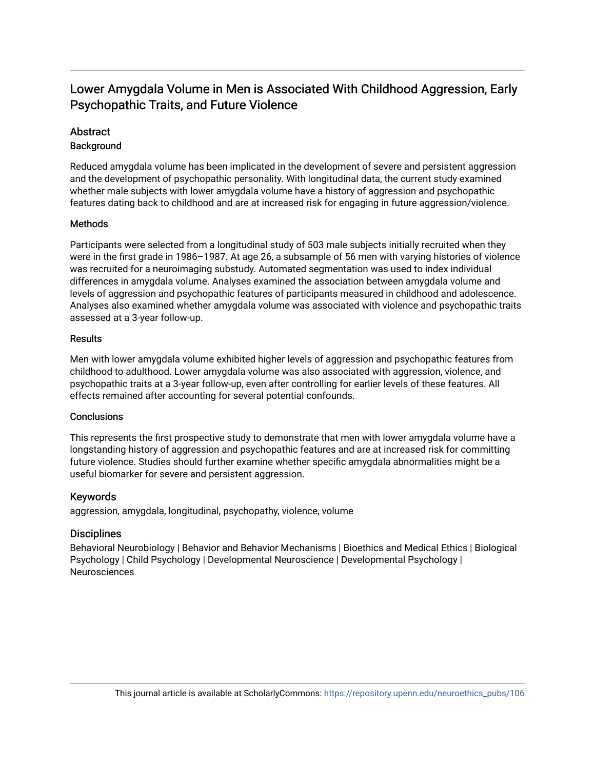## Lower Amygdala Volume in Men is Associated With Childhood Aggression, Early Psychopathic Traits, and Future Violence

### **Abstract**

### **Background**

Reduced amygdala volume has been implicated in the development of severe and persistent aggression and the development of psychopathic personality. With longitudinal data, the current study examined whether male subjects with lower amygdala volume have a history of aggression and psychopathic features dating back to childhood and are at increased risk for engaging in future aggression/violence.

### **Methods**

Participants were selected from a longitudinal study of 503 male subjects initially recruited when they were in the first grade in 1986–1987. At age 26, a subsample of 56 men with varying histories of violence was recruited for a neuroimaging substudy. Automated segmentation was used to index individual differences in amygdala volume. Analyses examined the association between amygdala volume and levels of aggression and psychopathic features of participants measured in childhood and adolescence. Analyses also examined whether amygdala volume was associated with violence and psychopathic traits assessed at a 3-year follow-up.

### **Results**

Men with lower amygdala volume exhibited higher levels of aggression and psychopathic features from childhood to adulthood. Lower amygdala volume was also associated with aggression, violence, and psychopathic traits at a 3-year follow-up, even after controlling for earlier levels of these features. All effects remained after accounting for several potential confounds.

### Conclusions

This represents the first prospective study to demonstrate that men with lower amygdala volume have a longstanding history of aggression and psychopathic features and are at increased risk for committing future violence. Studies should further examine whether specific amygdala abnormalities might be a useful biomarker for severe and persistent aggression.

### Keywords

aggression, amygdala, longitudinal, psychopathy, violence, volume

### **Disciplines**

Behavioral Neurobiology | Behavior and Behavior Mechanisms | Bioethics and Medical Ethics | Biological Psychology | Child Psychology | Developmental Neuroscience | Developmental Psychology | Neurosciences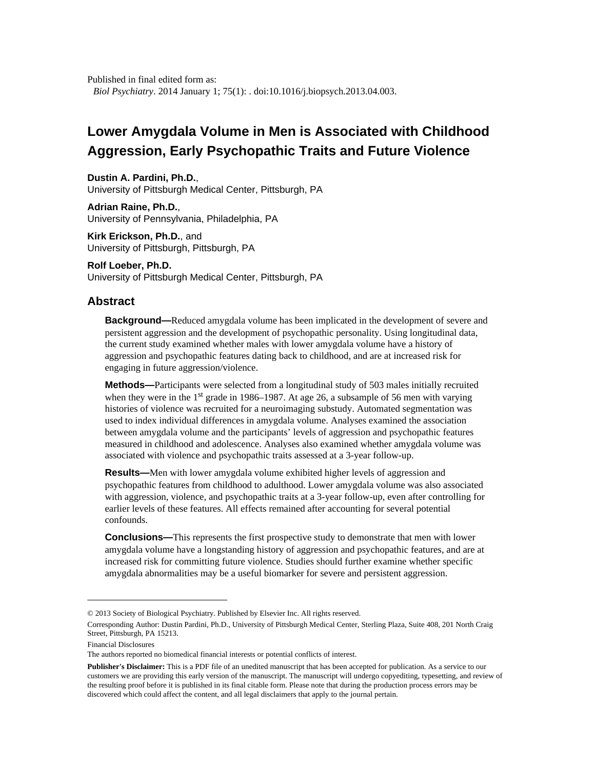Published in final edited form as: *Biol Psychiatry*. 2014 January 1; 75(1): . doi:10.1016/j.biopsych.2013.04.003.

# **Lower Amygdala Volume in Men is Associated with Childhood Aggression, Early Psychopathic Traits and Future Violence**

**Dustin A. Pardini, Ph.D.**, University of Pittsburgh Medical Center, Pittsburgh, PA

**Adrian Raine, Ph.D.**, University of Pennsylvania, Philadelphia, PA

**Kirk Erickson, Ph.D.**, and University of Pittsburgh, Pittsburgh, PA

**Rolf Loeber, Ph.D.** University of Pittsburgh Medical Center, Pittsburgh, PA

### **Abstract**

**Background—**Reduced amygdala volume has been implicated in the development of severe and persistent aggression and the development of psychopathic personality. Using longitudinal data, the current study examined whether males with lower amygdala volume have a history of aggression and psychopathic features dating back to childhood, and are at increased risk for engaging in future aggression/violence.

**Methods—**Participants were selected from a longitudinal study of 503 males initially recruited when they were in the 1<sup>st</sup> grade in 1986–1987. At age 26, a subsample of 56 men with varying histories of violence was recruited for a neuroimaging substudy. Automated segmentation was used to index individual differences in amygdala volume. Analyses examined the association between amygdala volume and the participants' levels of aggression and psychopathic features measured in childhood and adolescence. Analyses also examined whether amygdala volume was associated with violence and psychopathic traits assessed at a 3-year follow-up.

**Results—**Men with lower amygdala volume exhibited higher levels of aggression and psychopathic features from childhood to adulthood. Lower amygdala volume was also associated with aggression, violence, and psychopathic traits at a 3-year follow-up, even after controlling for earlier levels of these features. All effects remained after accounting for several potential confounds.

**Conclusions—**This represents the first prospective study to demonstrate that men with lower amygdala volume have a longstanding history of aggression and psychopathic features, and are at increased risk for committing future violence. Studies should further examine whether specific amygdala abnormalities may be a useful biomarker for severe and persistent aggression.

Financial Disclosures

<sup>© 2013</sup> Society of Biological Psychiatry. Published by Elsevier Inc. All rights reserved.

Corresponding Author: Dustin Pardini, Ph.D., University of Pittsburgh Medical Center, Sterling Plaza, Suite 408, 201 North Craig Street, Pittsburgh, PA 15213.

The authors reported no biomedical financial interests or potential conflicts of interest.

**Publisher's Disclaimer:** This is a PDF file of an unedited manuscript that has been accepted for publication. As a service to our customers we are providing this early version of the manuscript. The manuscript will undergo copyediting, typesetting, and review of the resulting proof before it is published in its final citable form. Please note that during the production process errors may be discovered which could affect the content, and all legal disclaimers that apply to the journal pertain.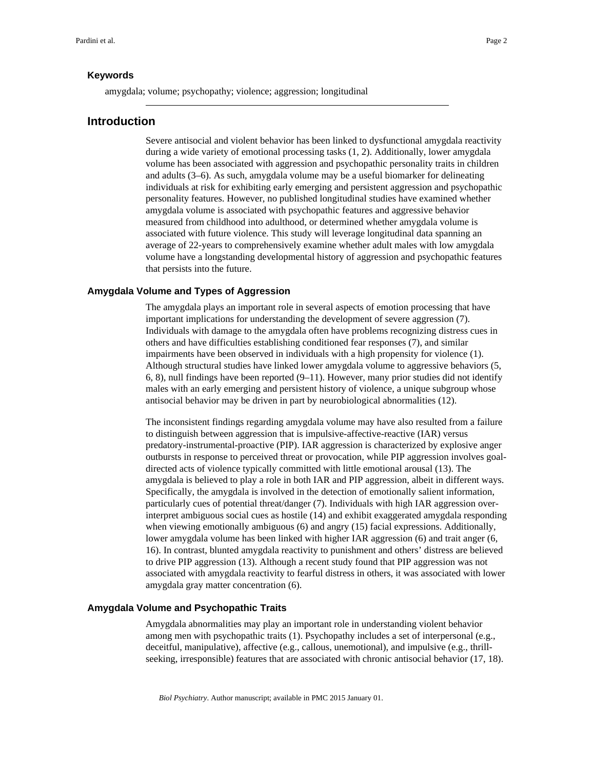#### **Keywords**

amygdala; volume; psychopathy; violence; aggression; longitudinal

### **Introduction**

Severe antisocial and violent behavior has been linked to dysfunctional amygdala reactivity during a wide variety of emotional processing tasks (1, 2). Additionally, lower amygdala volume has been associated with aggression and psychopathic personality traits in children and adults (3–6). As such, amygdala volume may be a useful biomarker for delineating individuals at risk for exhibiting early emerging and persistent aggression and psychopathic personality features. However, no published longitudinal studies have examined whether amygdala volume is associated with psychopathic features and aggressive behavior measured from childhood into adulthood, or determined whether amygdala volume is associated with future violence. This study will leverage longitudinal data spanning an average of 22-years to comprehensively examine whether adult males with low amygdala volume have a longstanding developmental history of aggression and psychopathic features that persists into the future.

#### **Amygdala Volume and Types of Aggression**

The amygdala plays an important role in several aspects of emotion processing that have important implications for understanding the development of severe aggression (7). Individuals with damage to the amygdala often have problems recognizing distress cues in others and have difficulties establishing conditioned fear responses (7), and similar impairments have been observed in individuals with a high propensity for violence (1). Although structural studies have linked lower amygdala volume to aggressive behaviors (5, 6, 8), null findings have been reported  $(9-11)$ . However, many prior studies did not identify males with an early emerging and persistent history of violence, a unique subgroup whose antisocial behavior may be driven in part by neurobiological abnormalities (12).

The inconsistent findings regarding amygdala volume may have also resulted from a failure to distinguish between aggression that is impulsive-affective-reactive (IAR) versus predatory-instrumental-proactive (PIP). IAR aggression is characterized by explosive anger outbursts in response to perceived threat or provocation, while PIP aggression involves goaldirected acts of violence typically committed with little emotional arousal (13). The amygdala is believed to play a role in both IAR and PIP aggression, albeit in different ways. Specifically, the amygdala is involved in the detection of emotionally salient information, particularly cues of potential threat/danger (7). Individuals with high IAR aggression overinterpret ambiguous social cues as hostile (14) and exhibit exaggerated amygdala responding when viewing emotionally ambiguous (6) and angry (15) facial expressions. Additionally, lower amygdala volume has been linked with higher IAR aggression (6) and trait anger (6, 16). In contrast, blunted amygdala reactivity to punishment and others' distress are believed to drive PIP aggression (13). Although a recent study found that PIP aggression was not associated with amygdala reactivity to fearful distress in others, it was associated with lower amygdala gray matter concentration (6).

#### **Amygdala Volume and Psychopathic Traits**

Amygdala abnormalities may play an important role in understanding violent behavior among men with psychopathic traits (1). Psychopathy includes a set of interpersonal (e.g., deceitful, manipulative), affective (e.g., callous, unemotional), and impulsive (e.g., thrillseeking, irresponsible) features that are associated with chronic antisocial behavior (17, 18).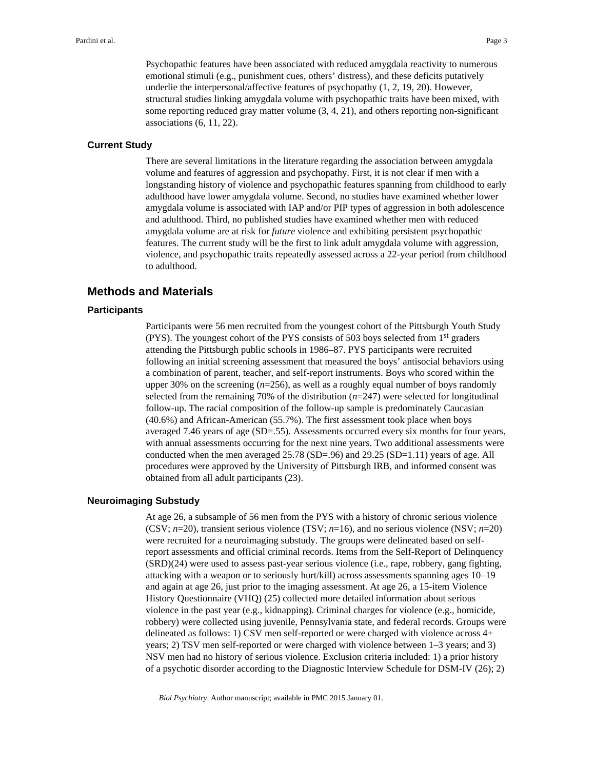Psychopathic features have been associated with reduced amygdala reactivity to numerous emotional stimuli (e.g., punishment cues, others' distress), and these deficits putatively underlie the interpersonal/affective features of psychopathy (1, 2, 19, 20). However, structural studies linking amygdala volume with psychopathic traits have been mixed, with some reporting reduced gray matter volume (3, 4, 21), and others reporting non-significant associations (6, 11, 22).

#### **Current Study**

There are several limitations in the literature regarding the association between amygdala volume and features of aggression and psychopathy. First, it is not clear if men with a longstanding history of violence and psychopathic features spanning from childhood to early adulthood have lower amygdala volume. Second, no studies have examined whether lower amygdala volume is associated with IAP and/or PIP types of aggression in both adolescence and adulthood. Third, no published studies have examined whether men with reduced amygdala volume are at risk for *future* violence and exhibiting persistent psychopathic features. The current study will be the first to link adult amygdala volume with aggression, violence, and psychopathic traits repeatedly assessed across a 22-year period from childhood to adulthood.

### **Methods and Materials**

#### **Participants**

Participants were 56 men recruited from the youngest cohort of the Pittsburgh Youth Study (PYS). The youngest cohort of the PYS consists of 503 boys selected from 1st graders attending the Pittsburgh public schools in 1986–87. PYS participants were recruited following an initial screening assessment that measured the boys' antisocial behaviors using a combination of parent, teacher, and self-report instruments. Boys who scored within the upper 30% on the screening (*n*=256), as well as a roughly equal number of boys randomly selected from the remaining 70% of the distribution (*n*=247) were selected for longitudinal follow-up. The racial composition of the follow-up sample is predominately Caucasian (40.6%) and African-American (55.7%). The first assessment took place when boys averaged 7.46 years of age (SD=.55). Assessments occurred every six months for four years, with annual assessments occurring for the next nine years. Two additional assessments were conducted when the men averaged  $25.78$  (SD=.96) and  $29.25$  (SD=1.11) years of age. All procedures were approved by the University of Pittsburgh IRB, and informed consent was obtained from all adult participants (23).

#### **Neuroimaging Substudy**

At age 26, a subsample of 56 men from the PYS with a history of chronic serious violence (CSV; *n*=20), transient serious violence (TSV; *n*=16), and no serious violence (NSV; *n*=20) were recruited for a neuroimaging substudy. The groups were delineated based on selfreport assessments and official criminal records. Items from the Self-Report of Delinquency (SRD)(24) were used to assess past-year serious violence (i.e., rape, robbery, gang fighting, attacking with a weapon or to seriously hurt/kill) across assessments spanning ages 10–19 and again at age 26, just prior to the imaging assessment. At age 26, a 15-item Violence History Questionnaire (VHQ) (25) collected more detailed information about serious violence in the past year (e.g., kidnapping). Criminal charges for violence (e.g., homicide, robbery) were collected using juvenile, Pennsylvania state, and federal records. Groups were delineated as follows: 1) CSV men self-reported or were charged with violence across 4+ years; 2) TSV men self-reported or were charged with violence between 1–3 years; and 3) NSV men had no history of serious violence. Exclusion criteria included: 1) a prior history of a psychotic disorder according to the Diagnostic Interview Schedule for DSM-IV (26); 2)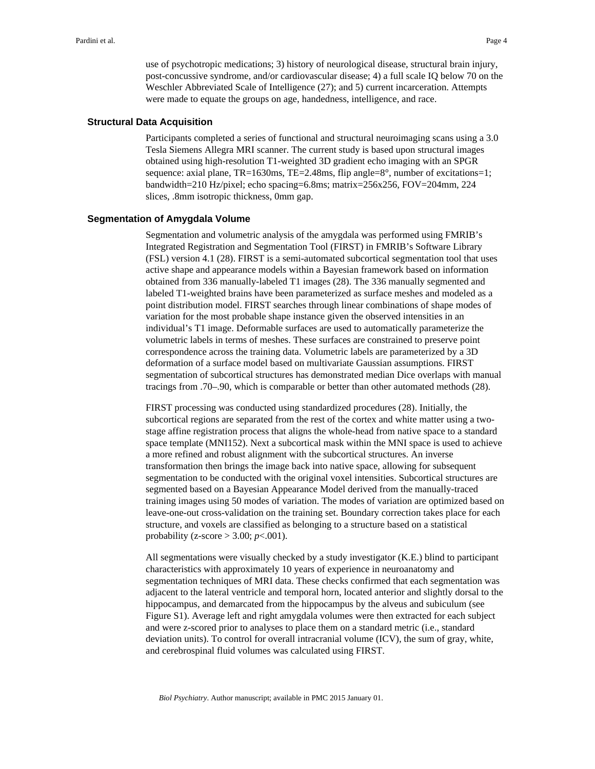use of psychotropic medications; 3) history of neurological disease, structural brain injury, post-concussive syndrome, and/or cardiovascular disease; 4) a full scale IQ below 70 on the Weschler Abbreviated Scale of Intelligence (27); and 5) current incarceration. Attempts were made to equate the groups on age, handedness, intelligence, and race.

#### **Structural Data Acquisition**

Participants completed a series of functional and structural neuroimaging scans using a 3.0 Tesla Siemens Allegra MRI scanner. The current study is based upon structural images obtained using high-resolution T1-weighted 3D gradient echo imaging with an SPGR sequence: axial plane,  $TR=1630$ ms,  $TE=2.48$ ms, flip angle $=8^\circ$ , number of excitations=1; bandwidth=210 Hz/pixel; echo spacing=6.8ms; matrix=256x256, FOV=204mm, 224 slices, .8mm isotropic thickness, 0mm gap.

#### **Segmentation of Amygdala Volume**

Segmentation and volumetric analysis of the amygdala was performed using FMRIB's Integrated Registration and Segmentation Tool (FIRST) in FMRIB's Software Library (FSL) version 4.1 (28). FIRST is a semi-automated subcortical segmentation tool that uses active shape and appearance models within a Bayesian framework based on information obtained from 336 manually-labeled T1 images (28). The 336 manually segmented and labeled T1-weighted brains have been parameterized as surface meshes and modeled as a point distribution model. FIRST searches through linear combinations of shape modes of variation for the most probable shape instance given the observed intensities in an individual's T1 image. Deformable surfaces are used to automatically parameterize the volumetric labels in terms of meshes. These surfaces are constrained to preserve point correspondence across the training data. Volumetric labels are parameterized by a 3D deformation of a surface model based on multivariate Gaussian assumptions. FIRST segmentation of subcortical structures has demonstrated median Dice overlaps with manual tracings from .70–.90, which is comparable or better than other automated methods (28).

FIRST processing was conducted using standardized procedures (28). Initially, the subcortical regions are separated from the rest of the cortex and white matter using a twostage affine registration process that aligns the whole-head from native space to a standard space template (MNI152). Next a subcortical mask within the MNI space is used to achieve a more refined and robust alignment with the subcortical structures. An inverse transformation then brings the image back into native space, allowing for subsequent segmentation to be conducted with the original voxel intensities. Subcortical structures are segmented based on a Bayesian Appearance Model derived from the manually-traced training images using 50 modes of variation. The modes of variation are optimized based on leave-one-out cross-validation on the training set. Boundary correction takes place for each structure, and voxels are classified as belonging to a structure based on a statistical probability (z-score > 3.00; *p*<.001).

All segmentations were visually checked by a study investigator (K.E.) blind to participant characteristics with approximately 10 years of experience in neuroanatomy and segmentation techniques of MRI data. These checks confirmed that each segmentation was adjacent to the lateral ventricle and temporal horn, located anterior and slightly dorsal to the hippocampus, and demarcated from the hippocampus by the alveus and subiculum (see Figure S1). Average left and right amygdala volumes were then extracted for each subject and were z-scored prior to analyses to place them on a standard metric (i.e., standard deviation units). To control for overall intracranial volume (ICV), the sum of gray, white, and cerebrospinal fluid volumes was calculated using FIRST.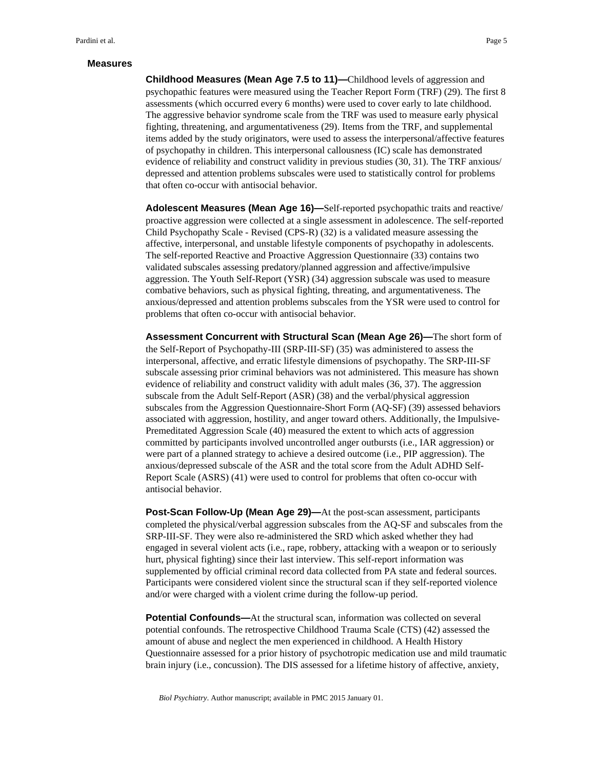#### **Measures**

**Childhood Measures (Mean Age 7.5 to 11)—**Childhood levels of aggression and psychopathic features were measured using the Teacher Report Form (TRF) (29). The first 8 assessments (which occurred every 6 months) were used to cover early to late childhood. The aggressive behavior syndrome scale from the TRF was used to measure early physical fighting, threatening, and argumentativeness (29). Items from the TRF, and supplemental items added by the study originators, were used to assess the interpersonal/affective features of psychopathy in children. This interpersonal callousness (IC) scale has demonstrated evidence of reliability and construct validity in previous studies (30, 31). The TRF anxious/ depressed and attention problems subscales were used to statistically control for problems that often co-occur with antisocial behavior.

**Adolescent Measures (Mean Age 16)—**Self-reported psychopathic traits and reactive/ proactive aggression were collected at a single assessment in adolescence. The self-reported Child Psychopathy Scale - Revised (CPS-R) (32) is a validated measure assessing the affective, interpersonal, and unstable lifestyle components of psychopathy in adolescents. The self-reported Reactive and Proactive Aggression Questionnaire (33) contains two validated subscales assessing predatory/planned aggression and affective/impulsive aggression. The Youth Self-Report (YSR) (34) aggression subscale was used to measure combative behaviors, such as physical fighting, threating, and argumentativeness. The anxious/depressed and attention problems subscales from the YSR were used to control for problems that often co-occur with antisocial behavior.

**Assessment Concurrent with Structural Scan (Mean Age 26)—**The short form of the Self-Report of Psychopathy-III (SRP-III-SF) (35) was administered to assess the interpersonal, affective, and erratic lifestyle dimensions of psychopathy. The SRP-III-SF subscale assessing prior criminal behaviors was not administered. This measure has shown evidence of reliability and construct validity with adult males (36, 37). The aggression subscale from the Adult Self-Report (ASR) (38) and the verbal/physical aggression subscales from the Aggression Questionnaire-Short Form (AQ-SF) (39) assessed behaviors associated with aggression, hostility, and anger toward others. Additionally, the Impulsive-Premeditated Aggression Scale (40) measured the extent to which acts of aggression committed by participants involved uncontrolled anger outbursts (i.e., IAR aggression) or were part of a planned strategy to achieve a desired outcome (i.e., PIP aggression). The anxious/depressed subscale of the ASR and the total score from the Adult ADHD Self-Report Scale (ASRS) (41) were used to control for problems that often co-occur with antisocial behavior.

**Post-Scan Follow-Up (Mean Age 29)—**At the post-scan assessment, participants completed the physical/verbal aggression subscales from the AQ-SF and subscales from the SRP-III-SF. They were also re-administered the SRD which asked whether they had engaged in several violent acts (i.e., rape, robbery, attacking with a weapon or to seriously hurt, physical fighting) since their last interview. This self-report information was supplemented by official criminal record data collected from PA state and federal sources. Participants were considered violent since the structural scan if they self-reported violence and/or were charged with a violent crime during the follow-up period.

**Potential Confounds—**At the structural scan, information was collected on several potential confounds. The retrospective Childhood Trauma Scale (CTS) (42) assessed the amount of abuse and neglect the men experienced in childhood. A Health History Questionnaire assessed for a prior history of psychotropic medication use and mild traumatic brain injury (i.e., concussion). The DIS assessed for a lifetime history of affective, anxiety,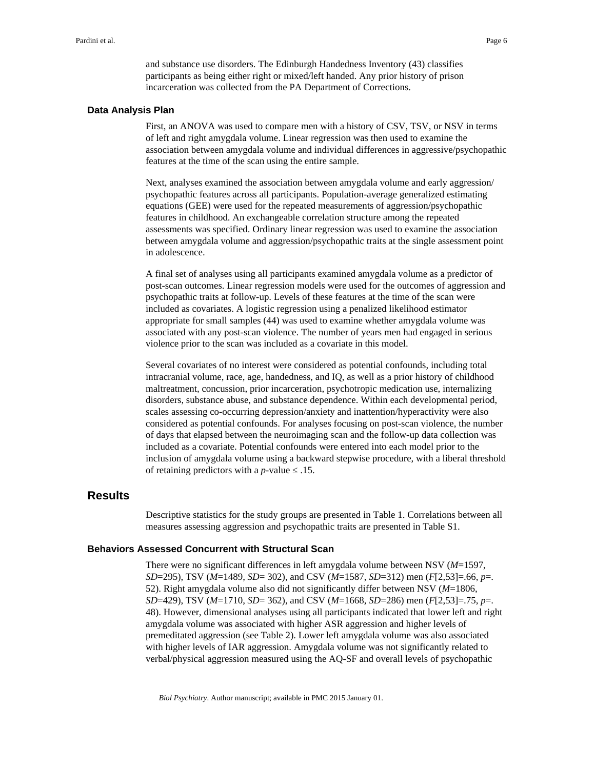and substance use disorders. The Edinburgh Handedness Inventory (43) classifies participants as being either right or mixed/left handed. Any prior history of prison incarceration was collected from the PA Department of Corrections.

#### **Data Analysis Plan**

First, an ANOVA was used to compare men with a history of CSV, TSV, or NSV in terms of left and right amygdala volume. Linear regression was then used to examine the association between amygdala volume and individual differences in aggressive/psychopathic features at the time of the scan using the entire sample.

Next, analyses examined the association between amygdala volume and early aggression/ psychopathic features across all participants. Population-average generalized estimating equations (GEE) were used for the repeated measurements of aggression/psychopathic features in childhood. An exchangeable correlation structure among the repeated assessments was specified. Ordinary linear regression was used to examine the association between amygdala volume and aggression/psychopathic traits at the single assessment point in adolescence.

A final set of analyses using all participants examined amygdala volume as a predictor of post-scan outcomes. Linear regression models were used for the outcomes of aggression and psychopathic traits at follow-up. Levels of these features at the time of the scan were included as covariates. A logistic regression using a penalized likelihood estimator appropriate for small samples (44) was used to examine whether amygdala volume was associated with any post-scan violence. The number of years men had engaged in serious violence prior to the scan was included as a covariate in this model.

Several covariates of no interest were considered as potential confounds, including total intracranial volume, race, age, handedness, and IQ, as well as a prior history of childhood maltreatment, concussion, prior incarceration, psychotropic medication use, internalizing disorders, substance abuse, and substance dependence. Within each developmental period, scales assessing co-occurring depression/anxiety and inattention/hyperactivity were also considered as potential confounds. For analyses focusing on post-scan violence, the number of days that elapsed between the neuroimaging scan and the follow-up data collection was included as a covariate. Potential confounds were entered into each model prior to the inclusion of amygdala volume using a backward stepwise procedure, with a liberal threshold of retaining predictors with a  $p$ -value  $\ldots$ 15.

### **Results**

Descriptive statistics for the study groups are presented in Table 1. Correlations between all measures assessing aggression and psychopathic traits are presented in Table S1.

#### **Behaviors Assessed Concurrent with Structural Scan**

There were no significant differences in left amygdala volume between NSV (*M*=1597, *SD*=295), TSV (*M*=1489, *SD*= 302), and CSV (*M*=1587, *SD*=312) men (*F*[2,53]=.66, *p*=. 52). Right amygdala volume also did not significantly differ between NSV (*M*=1806, *SD*=429), TSV (*M*=1710, *SD*= 362), and CSV (*M*=1668, *SD*=286) men (*F*[2,53]=.75, *p*=. 48). However, dimensional analyses using all participants indicated that lower left and right amygdala volume was associated with higher ASR aggression and higher levels of premeditated aggression (see Table 2). Lower left amygdala volume was also associated with higher levels of IAR aggression. Amygdala volume was not significantly related to verbal/physical aggression measured using the AQ-SF and overall levels of psychopathic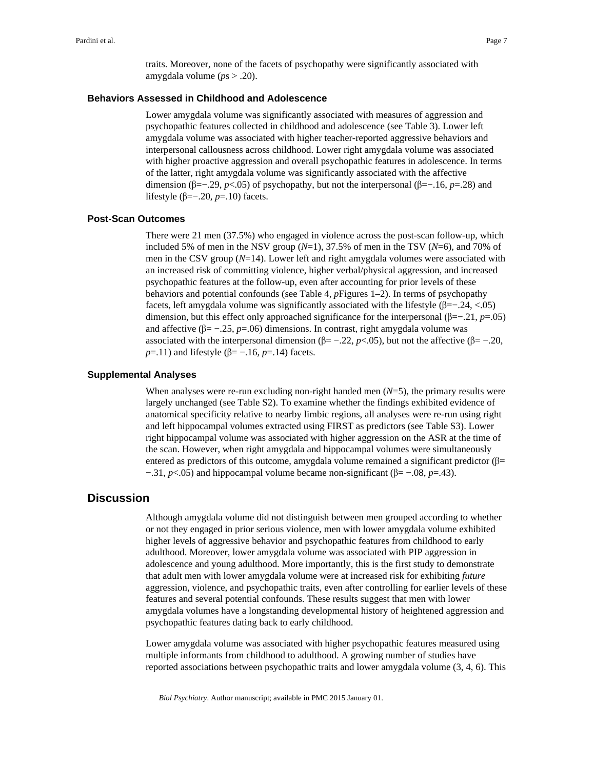traits. Moreover, none of the facets of psychopathy were significantly associated with amygdala volume (*p*s > .20).

### **Behaviors Assessed in Childhood and Adolescence**

Lower amygdala volume was significantly associated with measures of aggression and psychopathic features collected in childhood and adolescence (see Table 3). Lower left amygdala volume was associated with higher teacher-reported aggressive behaviors and interpersonal callousness across childhood. Lower right amygdala volume was associated with higher proactive aggression and overall psychopathic features in adolescence. In terms of the latter, right amygdala volume was significantly associated with the affective dimension (β=−.29, *p*<.05) of psychopathy, but not the interpersonal (β=−.16, *p*=.28) and lifestyle (β=−.20, *p*=.10) facets.

#### **Post-Scan Outcomes**

There were 21 men (37.5%) who engaged in violence across the post-scan follow-up, which included 5% of men in the NSV group  $(N=1)$ , 37.5% of men in the TSV  $(N=6)$ , and 70% of men in the CSV group (*N*=14). Lower left and right amygdala volumes were associated with an increased risk of committing violence, higher verbal/physical aggression, and increased psychopathic features at the follow-up, even after accounting for prior levels of these behaviors and potential confounds (see Table 4, *p*Figures 1–2). In terms of psychopathy facets, left amygdala volume was significantly associated with the lifestyle  $(\beta = -0.24, \langle .05 \rangle)$ dimension, but this effect only approached significance for the interpersonal (β=−.21, *p*=.05) and affective ( $\beta$ = -.25, *p*=.06) dimensions. In contrast, right amygdala volume was associated with the interpersonal dimension ( $β = -.22$ ,  $p < .05$ ), but not the affective ( $β = -.20$ , *p*=.11) and lifestyle (β= −.16, *p*=.14) facets.

#### **Supplemental Analyses**

When analyses were re-run excluding non-right handed men ( $N=5$ ), the primary results were largely unchanged (see Table S2). To examine whether the findings exhibited evidence of anatomical specificity relative to nearby limbic regions, all analyses were re-run using right and left hippocampal volumes extracted using FIRST as predictors (see Table S3). Lower right hippocampal volume was associated with higher aggression on the ASR at the time of the scan. However, when right amygdala and hippocampal volumes were simultaneously entered as predictors of this outcome, amygdala volume remained a significant predictor ( $\beta$ = −.31, *p*<.05) and hippocampal volume became non-significant (β= −.08, *p*=.43).

### **Discussion**

Although amygdala volume did not distinguish between men grouped according to whether or not they engaged in prior serious violence, men with lower amygdala volume exhibited higher levels of aggressive behavior and psychopathic features from childhood to early adulthood. Moreover, lower amygdala volume was associated with PIP aggression in adolescence and young adulthood. More importantly, this is the first study to demonstrate that adult men with lower amygdala volume were at increased risk for exhibiting *future* aggression, violence, and psychopathic traits, even after controlling for earlier levels of these features and several potential confounds. These results suggest that men with lower amygdala volumes have a longstanding developmental history of heightened aggression and psychopathic features dating back to early childhood.

Lower amygdala volume was associated with higher psychopathic features measured using multiple informants from childhood to adulthood. A growing number of studies have reported associations between psychopathic traits and lower amygdala volume (3, 4, 6). This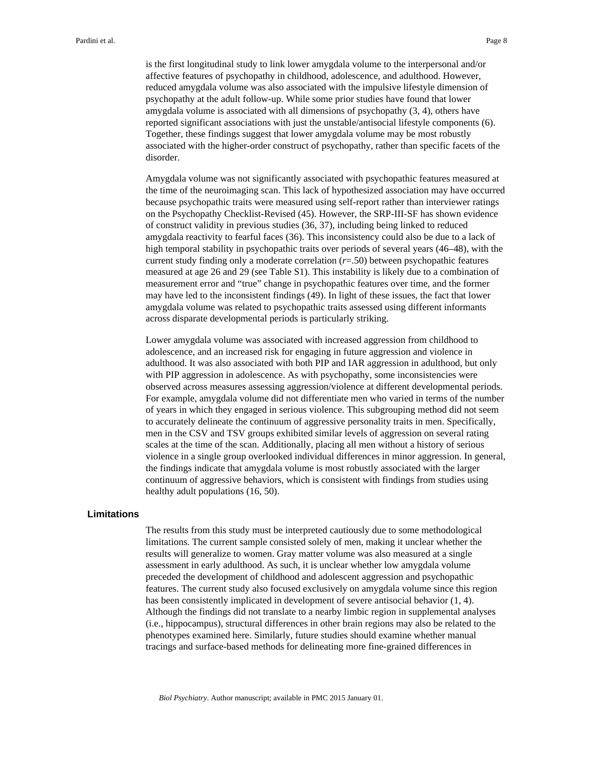is the first longitudinal study to link lower amygdala volume to the interpersonal and/or affective features of psychopathy in childhood, adolescence, and adulthood. However, reduced amygdala volume was also associated with the impulsive lifestyle dimension of psychopathy at the adult follow-up. While some prior studies have found that lower amygdala volume is associated with all dimensions of psychopathy (3, 4), others have reported significant associations with just the unstable/antisocial lifestyle components (6). Together, these findings suggest that lower amygdala volume may be most robustly associated with the higher-order construct of psychopathy, rather than specific facets of the disorder.

Amygdala volume was not significantly associated with psychopathic features measured at the time of the neuroimaging scan. This lack of hypothesized association may have occurred because psychopathic traits were measured using self-report rather than interviewer ratings on the Psychopathy Checklist-Revised (45). However, the SRP-III-SF has shown evidence of construct validity in previous studies (36, 37), including being linked to reduced amygdala reactivity to fearful faces (36). This inconsistency could also be due to a lack of high temporal stability in psychopathic traits over periods of several years (46–48), with the current study finding only a moderate correlation (*r*=.50) between psychopathic features measured at age 26 and 29 (see Table S1). This instability is likely due to a combination of measurement error and "true" change in psychopathic features over time, and the former may have led to the inconsistent findings (49). In light of these issues, the fact that lower amygdala volume was related to psychopathic traits assessed using different informants across disparate developmental periods is particularly striking.

Lower amygdala volume was associated with increased aggression from childhood to adolescence, and an increased risk for engaging in future aggression and violence in adulthood. It was also associated with both PIP and IAR aggression in adulthood, but only with PIP aggression in adolescence. As with psychopathy, some inconsistencies were observed across measures assessing aggression/violence at different developmental periods. For example, amygdala volume did not differentiate men who varied in terms of the number of years in which they engaged in serious violence. This subgrouping method did not seem to accurately delineate the continuum of aggressive personality traits in men. Specifically, men in the CSV and TSV groups exhibited similar levels of aggression on several rating scales at the time of the scan. Additionally, placing all men without a history of serious violence in a single group overlooked individual differences in minor aggression. In general, the findings indicate that amygdala volume is most robustly associated with the larger continuum of aggressive behaviors, which is consistent with findings from studies using healthy adult populations (16, 50).

#### **Limitations**

The results from this study must be interpreted cautiously due to some methodological limitations. The current sample consisted solely of men, making it unclear whether the results will generalize to women. Gray matter volume was also measured at a single assessment in early adulthood. As such, it is unclear whether low amygdala volume preceded the development of childhood and adolescent aggression and psychopathic features. The current study also focused exclusively on amygdala volume since this region has been consistently implicated in development of severe antisocial behavior (1, 4). Although the findings did not translate to a nearby limbic region in supplemental analyses (i.e., hippocampus), structural differences in other brain regions may also be related to the phenotypes examined here. Similarly, future studies should examine whether manual tracings and surface-based methods for delineating more fine-grained differences in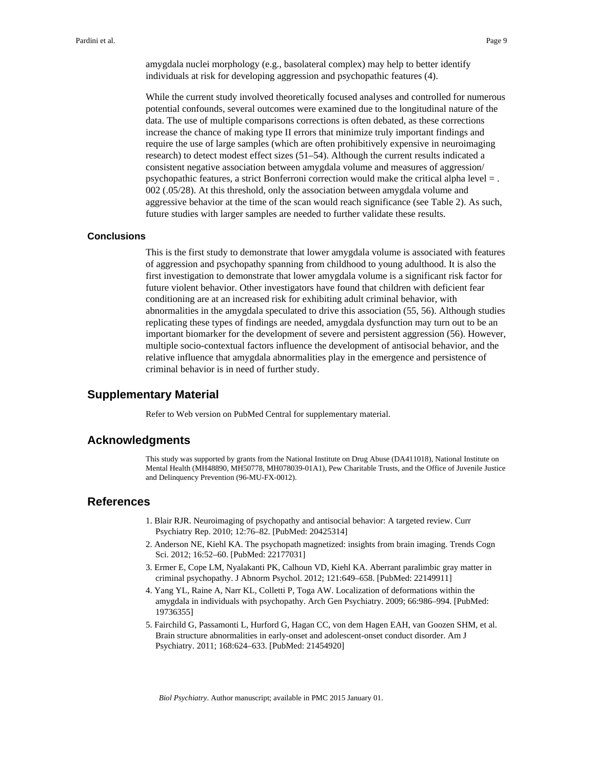amygdala nuclei morphology (e.g., basolateral complex) may help to better identify individuals at risk for developing aggression and psychopathic features (4).

While the current study involved theoretically focused analyses and controlled for numerous potential confounds, several outcomes were examined due to the longitudinal nature of the data. The use of multiple comparisons corrections is often debated, as these corrections increase the chance of making type II errors that minimize truly important findings and require the use of large samples (which are often prohibitively expensive in neuroimaging research) to detect modest effect sizes (51–54). Although the current results indicated a consistent negative association between amygdala volume and measures of aggression/ psychopathic features, a strict Bonferroni correction would make the critical alpha level = . 002 (.05/28). At this threshold, only the association between amygdala volume and aggressive behavior at the time of the scan would reach significance (see Table 2). As such, future studies with larger samples are needed to further validate these results.

#### **Conclusions**

This is the first study to demonstrate that lower amygdala volume is associated with features of aggression and psychopathy spanning from childhood to young adulthood. It is also the first investigation to demonstrate that lower amygdala volume is a significant risk factor for future violent behavior. Other investigators have found that children with deficient fear conditioning are at an increased risk for exhibiting adult criminal behavior, with abnormalities in the amygdala speculated to drive this association (55, 56). Although studies replicating these types of findings are needed, amygdala dysfunction may turn out to be an important biomarker for the development of severe and persistent aggression (56). However, multiple socio-contextual factors influence the development of antisocial behavior, and the relative influence that amygdala abnormalities play in the emergence and persistence of criminal behavior is in need of further study.

### **Supplementary Material**

Refer to Web version on PubMed Central for supplementary material.

#### **Acknowledgments**

This study was supported by grants from the National Institute on Drug Abuse (DA411018), National Institute on Mental Health (MH48890, MH50778, MH078039-01A1), Pew Charitable Trusts, and the Office of Juvenile Justice and Delinquency Prevention (96-MU-FX-0012).

#### **References**

- 1. Blair RJR. Neuroimaging of psychopathy and antisocial behavior: A targeted review. Curr Psychiatry Rep. 2010; 12:76–82. [PubMed: 20425314]
- 2. Anderson NE, Kiehl KA. The psychopath magnetized: insights from brain imaging. Trends Cogn Sci. 2012; 16:52–60. [PubMed: 22177031]
- 3. Ermer E, Cope LM, Nyalakanti PK, Calhoun VD, Kiehl KA. Aberrant paralimbic gray matter in criminal psychopathy. J Abnorm Psychol. 2012; 121:649–658. [PubMed: 22149911]
- 4. Yang YL, Raine A, Narr KL, Colletti P, Toga AW. Localization of deformations within the amygdala in individuals with psychopathy. Arch Gen Psychiatry. 2009; 66:986–994. [PubMed: 19736355]
- 5. Fairchild G, Passamonti L, Hurford G, Hagan CC, von dem Hagen EAH, van Goozen SHM, et al. Brain structure abnormalities in early-onset and adolescent-onset conduct disorder. Am J Psychiatry. 2011; 168:624–633. [PubMed: 21454920]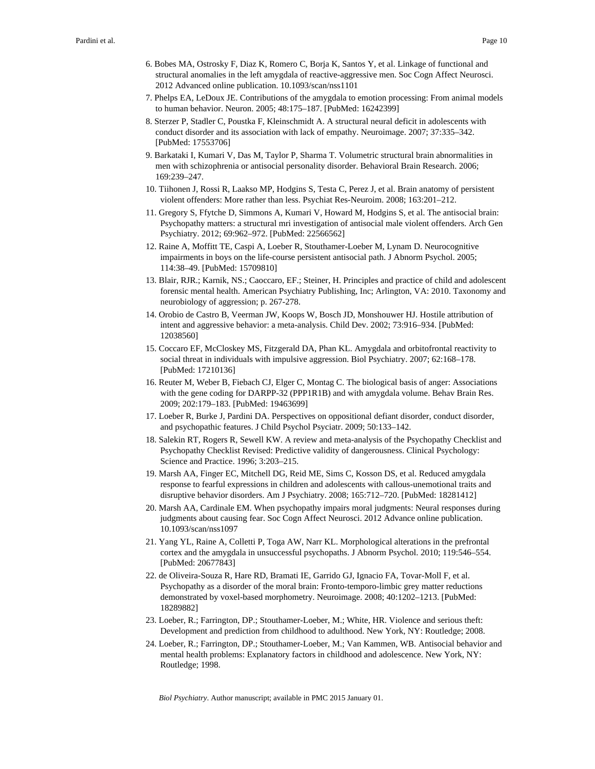- 6. Bobes MA, Ostrosky F, Diaz K, Romero C, Borja K, Santos Y, et al. Linkage of functional and structural anomalies in the left amygdala of reactive-aggressive men. Soc Cogn Affect Neurosci. 2012 Advanced online publication. 10.1093/scan/nss1101
- 7. Phelps EA, LeDoux JE. Contributions of the amygdala to emotion processing: From animal models to human behavior. Neuron. 2005; 48:175–187. [PubMed: 16242399]
- 8. Sterzer P, Stadler C, Poustka F, Kleinschmidt A. A structural neural deficit in adolescents with conduct disorder and its association with lack of empathy. Neuroimage. 2007; 37:335–342. [PubMed: 17553706]
- 9. Barkataki I, Kumari V, Das M, Taylor P, Sharma T. Volumetric structural brain abnormalities in men with schizophrenia or antisocial personality disorder. Behavioral Brain Research. 2006; 169:239–247.
- 10. Tiihonen J, Rossi R, Laakso MP, Hodgins S, Testa C, Perez J, et al. Brain anatomy of persistent violent offenders: More rather than less. Psychiat Res-Neuroim. 2008; 163:201–212.
- 11. Gregory S, Ffytche D, Simmons A, Kumari V, Howard M, Hodgins S, et al. The antisocial brain: Psychopathy matters: a structural mri investigation of antisocial male violent offenders. Arch Gen Psychiatry. 2012; 69:962–972. [PubMed: 22566562]
- 12. Raine A, Moffitt TE, Caspi A, Loeber R, Stouthamer-Loeber M, Lynam D. Neurocognitive impairments in boys on the life-course persistent antisocial path. J Abnorm Psychol. 2005; 114:38–49. [PubMed: 15709810]
- 13. Blair, RJR.; Karnik, NS.; Caoccaro, EF.; Steiner, H. Principles and practice of child and adolescent forensic mental health. American Psychiatry Publishing, Inc; Arlington, VA: 2010. Taxonomy and neurobiology of aggression; p. 267-278.
- 14. Orobio de Castro B, Veerman JW, Koops W, Bosch JD, Monshouwer HJ. Hostile attribution of intent and aggressive behavior: a meta-analysis. Child Dev. 2002; 73:916–934. [PubMed: 12038560]
- 15. Coccaro EF, McCloskey MS, Fitzgerald DA, Phan KL. Amygdala and orbitofrontal reactivity to social threat in individuals with impulsive aggression. Biol Psychiatry. 2007; 62:168–178. [PubMed: 17210136]
- 16. Reuter M, Weber B, Fiebach CJ, Elger C, Montag C. The biological basis of anger: Associations with the gene coding for DARPP-32 (PPP1R1B) and with amygdala volume. Behav Brain Res. 2009; 202:179–183. [PubMed: 19463699]
- 17. Loeber R, Burke J, Pardini DA. Perspectives on oppositional defiant disorder, conduct disorder, and psychopathic features. J Child Psychol Psyciatr. 2009; 50:133–142.
- 18. Salekin RT, Rogers R, Sewell KW. A review and meta-analysis of the Psychopathy Checklist and Psychopathy Checklist Revised: Predictive validity of dangerousness. Clinical Psychology: Science and Practice. 1996; 3:203–215.
- 19. Marsh AA, Finger EC, Mitchell DG, Reid ME, Sims C, Kosson DS, et al. Reduced amygdala response to fearful expressions in children and adolescents with callous-unemotional traits and disruptive behavior disorders. Am J Psychiatry. 2008; 165:712–720. [PubMed: 18281412]
- 20. Marsh AA, Cardinale EM. When psychopathy impairs moral judgments: Neural responses during judgments about causing fear. Soc Cogn Affect Neurosci. 2012 Advance online publication. 10.1093/scan/nss1097
- 21. Yang YL, Raine A, Colletti P, Toga AW, Narr KL. Morphological alterations in the prefrontal cortex and the amygdala in unsuccessful psychopaths. J Abnorm Psychol. 2010; 119:546–554. [PubMed: 20677843]
- 22. de Oliveira-Souza R, Hare RD, Bramati IE, Garrido GJ, Ignacio FA, Tovar-Moll F, et al. Psychopathy as a disorder of the moral brain: Fronto-temporo-limbic grey matter reductions demonstrated by voxel-based morphometry. Neuroimage. 2008; 40:1202–1213. [PubMed: 18289882]
- 23. Loeber, R.; Farrington, DP.; Stouthamer-Loeber, M.; White, HR. Violence and serious theft: Development and prediction from childhood to adulthood. New York, NY: Routledge; 2008.
- 24. Loeber, R.; Farrington, DP.; Stouthamer-Loeber, M.; Van Kammen, WB. Antisocial behavior and mental health problems: Explanatory factors in childhood and adolescence. New York, NY: Routledge; 1998.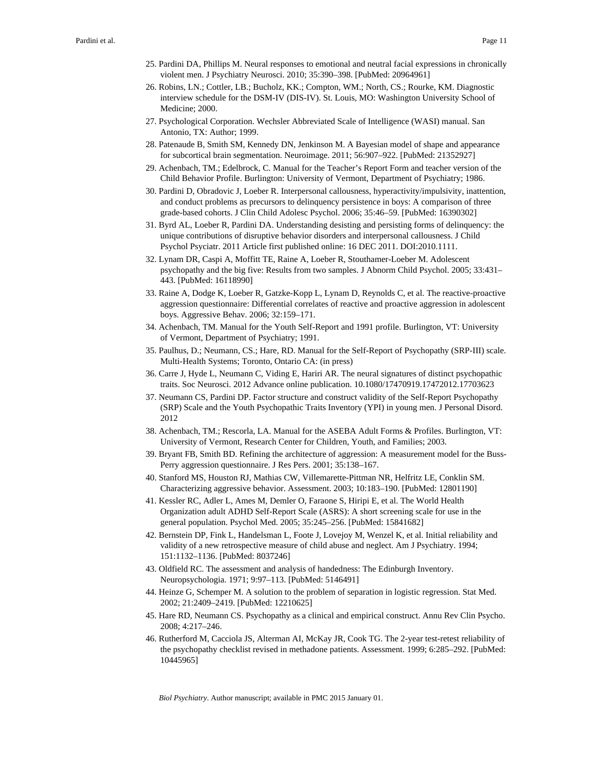- 25. Pardini DA, Phillips M. Neural responses to emotional and neutral facial expressions in chronically violent men. J Psychiatry Neurosci. 2010; 35:390–398. [PubMed: 20964961]
- 26. Robins, LN.; Cottler, LB.; Bucholz, KK.; Compton, WM.; North, CS.; Rourke, KM. Diagnostic interview schedule for the DSM-IV (DIS-IV). St. Louis, MO: Washington University School of Medicine; 2000.
- 27. Psychological Corporation. Wechsler Abbreviated Scale of Intelligence (WASI) manual. San Antonio, TX: Author; 1999.
- 28. Patenaude B, Smith SM, Kennedy DN, Jenkinson M. A Bayesian model of shape and appearance for subcortical brain segmentation. Neuroimage. 2011; 56:907–922. [PubMed: 21352927]
- 29. Achenbach, TM.; Edelbrock, C. Manual for the Teacher's Report Form and teacher version of the Child Behavior Profile. Burlington: University of Vermont, Department of Psychiatry; 1986.
- 30. Pardini D, Obradovic J, Loeber R. Interpersonal callousness, hyperactivity/impulsivity, inattention, and conduct problems as precursors to delinquency persistence in boys: A comparison of three grade-based cohorts. J Clin Child Adolesc Psychol. 2006; 35:46–59. [PubMed: 16390302]
- 31. Byrd AL, Loeber R, Pardini DA. Understanding desisting and persisting forms of delinquency: the unique contributions of disruptive behavior disorders and interpersonal callousness. J Child Psychol Psyciatr. 2011 Article first published online: 16 DEC 2011. DOI:2010.1111.
- 32. Lynam DR, Caspi A, Moffitt TE, Raine A, Loeber R, Stouthamer-Loeber M. Adolescent psychopathy and the big five: Results from two samples. J Abnorm Child Psychol. 2005; 33:431– 443. [PubMed: 16118990]
- 33. Raine A, Dodge K, Loeber R, Gatzke-Kopp L, Lynam D, Reynolds C, et al. The reactive-proactive aggression questionnaire: Differential correlates of reactive and proactive aggression in adolescent boys. Aggressive Behav. 2006; 32:159–171.
- 34. Achenbach, TM. Manual for the Youth Self-Report and 1991 profile. Burlington, VT: University of Vermont, Department of Psychiatry; 1991.
- 35. Paulhus, D.; Neumann, CS.; Hare, RD. Manual for the Self-Report of Psychopathy (SRP-III) scale. Multi-Health Systems; Toronto, Ontario CA: (in press)
- 36. Carre J, Hyde L, Neumann C, Viding E, Hariri AR. The neural signatures of distinct psychopathic traits. Soc Neurosci. 2012 Advance online publication. 10.1080/17470919.17472012.17703623
- 37. Neumann CS, Pardini DP. Factor structure and construct validity of the Self-Report Psychopathy (SRP) Scale and the Youth Psychopathic Traits Inventory (YPI) in young men. J Personal Disord. 2012
- 38. Achenbach, TM.; Rescorla, LA. Manual for the ASEBA Adult Forms & Profiles. Burlington, VT: University of Vermont, Research Center for Children, Youth, and Families; 2003.
- 39. Bryant FB, Smith BD. Refining the architecture of aggression: A measurement model for the Buss-Perry aggression questionnaire. J Res Pers. 2001; 35:138–167.
- 40. Stanford MS, Houston RJ, Mathias CW, Villemarette-Pittman NR, Helfritz LE, Conklin SM. Characterizing aggressive behavior. Assessment. 2003; 10:183–190. [PubMed: 12801190]
- 41. Kessler RC, Adler L, Ames M, Demler O, Faraone S, Hiripi E, et al. The World Health Organization adult ADHD Self-Report Scale (ASRS): A short screening scale for use in the general population. Psychol Med. 2005; 35:245–256. [PubMed: 15841682]
- 42. Bernstein DP, Fink L, Handelsman L, Foote J, Lovejoy M, Wenzel K, et al. Initial reliability and validity of a new retrospective measure of child abuse and neglect. Am J Psychiatry. 1994; 151:1132–1136. [PubMed: 8037246]
- 43. Oldfield RC. The assessment and analysis of handedness: The Edinburgh Inventory. Neuropsychologia. 1971; 9:97–113. [PubMed: 5146491]
- 44. Heinze G, Schemper M. A solution to the problem of separation in logistic regression. Stat Med. 2002; 21:2409–2419. [PubMed: 12210625]
- 45. Hare RD, Neumann CS. Psychopathy as a clinical and empirical construct. Annu Rev Clin Psycho. 2008; 4:217–246.
- 46. Rutherford M, Cacciola JS, Alterman AI, McKay JR, Cook TG. The 2-year test-retest reliability of the psychopathy checklist revised in methadone patients. Assessment. 1999; 6:285–292. [PubMed: 10445965]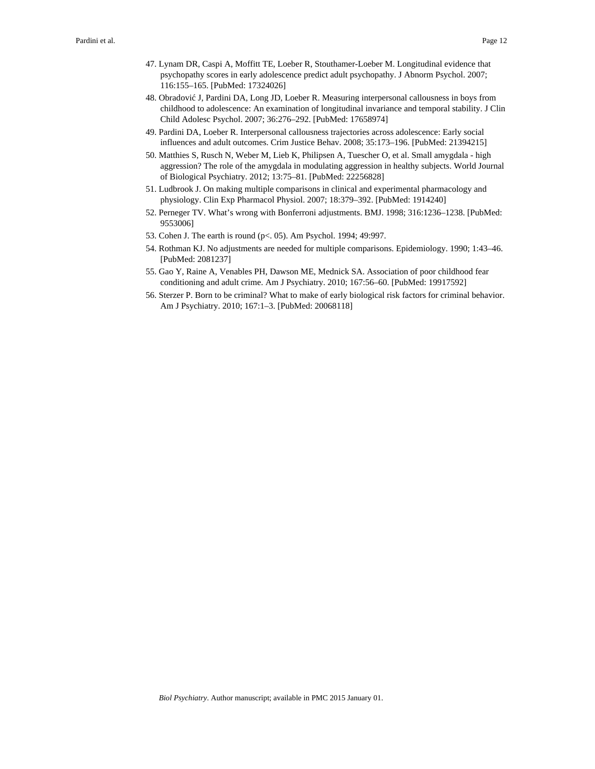- 47. Lynam DR, Caspi A, Moffitt TE, Loeber R, Stouthamer-Loeber M. Longitudinal evidence that psychopathy scores in early adolescence predict adult psychopathy. J Abnorm Psychol. 2007; 116:155–165. [PubMed: 17324026]
- 48. Obradović J, Pardini DA, Long JD, Loeber R. Measuring interpersonal callousness in boys from childhood to adolescence: An examination of longitudinal invariance and temporal stability. J Clin Child Adolesc Psychol. 2007; 36:276–292. [PubMed: 17658974]
- 49. Pardini DA, Loeber R. Interpersonal callousness trajectories across adolescence: Early social influences and adult outcomes. Crim Justice Behav. 2008; 35:173–196. [PubMed: 21394215]
- 50. Matthies S, Rusch N, Weber M, Lieb K, Philipsen A, Tuescher O, et al. Small amygdala high aggression? The role of the amygdala in modulating aggression in healthy subjects. World Journal of Biological Psychiatry. 2012; 13:75–81. [PubMed: 22256828]
- 51. Ludbrook J. On making multiple comparisons in clinical and experimental pharmacology and physiology. Clin Exp Pharmacol Physiol. 2007; 18:379–392. [PubMed: 1914240]
- 52. Perneger TV. What's wrong with Bonferroni adjustments. BMJ. 1998; 316:1236–1238. [PubMed: 9553006]
- 53. Cohen J. The earth is round (p<. 05). Am Psychol. 1994; 49:997.
- 54. Rothman KJ. No adjustments are needed for multiple comparisons. Epidemiology. 1990; 1:43–46. [PubMed: 2081237]
- 55. Gao Y, Raine A, Venables PH, Dawson ME, Mednick SA. Association of poor childhood fear conditioning and adult crime. Am J Psychiatry. 2010; 167:56–60. [PubMed: 19917592]
- 56. Sterzer P. Born to be criminal? What to make of early biological risk factors for criminal behavior. Am J Psychiatry. 2010; 167:1–3. [PubMed: 20068118]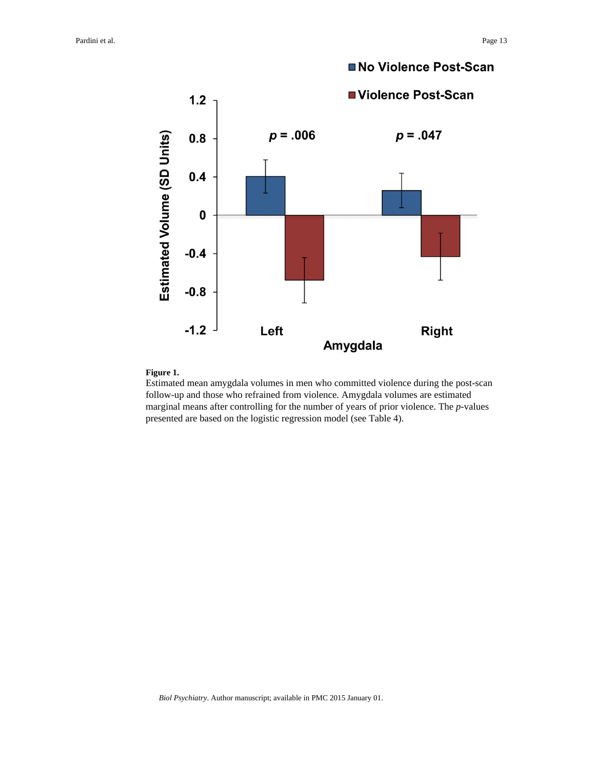

#### **Figure 1.**

Estimated mean amygdala volumes in men who committed violence during the post-scan follow-up and those who refrained from violence. Amygdala volumes are estimated marginal means after controlling for the number of years of prior violence. The *p*-values presented are based on the logistic regression model (see Table 4).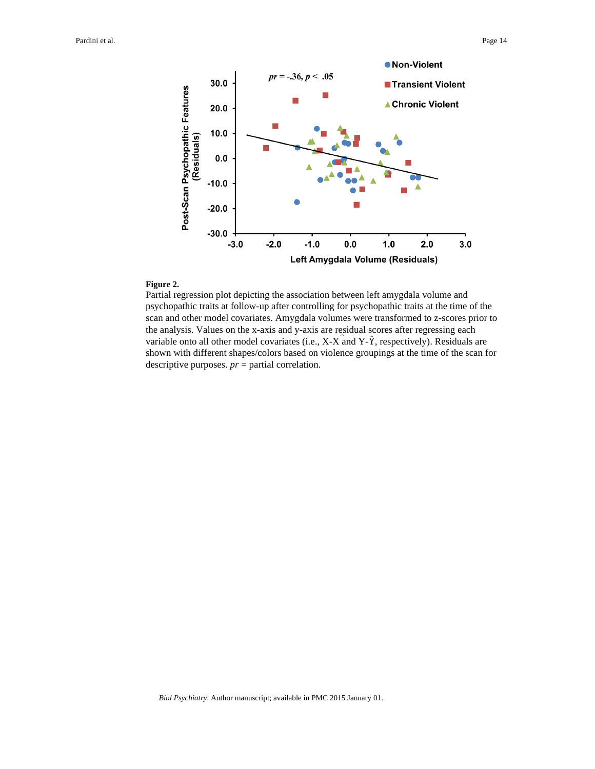

#### **Figure 2.**

Partial regression plot depicting the association between left amygdala volume and psychopathic traits at follow-up after controlling for psychopathic traits at the time of the scan and other model covariates. Amygdala volumes were transformed to z-scores prior to the analysis. Values on the x-axis and y-axis are residual scores after regressing each variable onto all other model covariates (i.e.,  $X-X$  and  $Y-\hat{Y}$ , respectively). Residuals are shown with different shapes/colors based on violence groupings at the time of the scan for descriptive purposes. *pr* = partial correlation.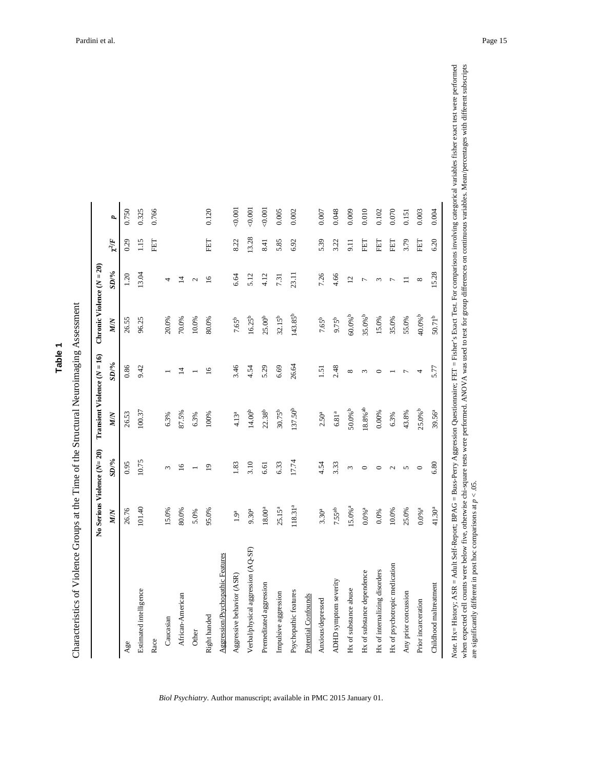| Φ  |
|----|
| ۰. |
|    |
|    |

Characteristics of Violence Groups at the Time of the Structural Neuroimaging Assessment Characteristics of Violence Groups at the Time of the Structural Neuroimaging Assessment

|                                    | No Serious Violence (N= 20) |                |                       |                |                       |                 |            |       |
|------------------------------------|-----------------------------|----------------|-----------------------|----------------|-----------------------|-----------------|------------|-------|
|                                    | <b>MIN</b>                  | $SD\%$         | <b>MIN</b>            | $SD\%$         | <b>MIN</b>            | $SD/ \%$        | $\chi^2/F$ | d     |
| Age                                | 26.76                       | 0.95           | 26.53                 | 0.86           | 26.55                 | 1.20            | 0.29       | 0.750 |
| Estimated intelligence             | 101.40                      | 10.75          | 100.37                | 9.42           | 96.25                 | 13.04           | 1.15       | 0.325 |
| Race                               |                             |                |                       |                |                       |                 | 田田         | 0.766 |
| Caucasian                          | 15.0%                       | ω              | 6.3%                  |                | 20.0%                 | 4               |            |       |
| African-American                   | 80.0%                       | $\tilde{a}$    | 87.5%                 | $\overline{4}$ | 70.0%                 | $\overline{4}$  |            |       |
| Other                              | 5.0%                        |                | 6.3%                  |                | 10.0%                 | $\mathcal{L}$   |            |       |
| Right handed                       | 95.0%                       | $\overline{0}$ | 100%                  | $\overline{a}$ | 80.0%                 | $\overline{16}$ | 답          | 0.120 |
| Aggression/Psychopathic Features   |                             |                |                       |                |                       |                 |            |       |
| Aggressive behavior (ASR)          | 1.9 <sup>a</sup>            | 1.83           | 4.13 <sup>a</sup>     | 3.46           | 7.65 <sup>b</sup>     | 6.64            | 8.22       | 0.001 |
| Verbal/physical aggression (AQ-SF) | 9.30 <sup>a</sup>           | 3.10           | 14.00 <sup>b</sup>    | 4.54           | $16.25^{b}$           | 5.12            | 13.28      | 0.001 |
| Premeditated aggression            | $18.00^{\rm a}$             | 6.61           | 22.38 <sup>b</sup>    | 5.29           | 25.00 <sup>b</sup>    | 4.12            | 8.41       | 0.001 |
| Impulsive aggression               | $25.15^{a}$                 | 6.33           | $30.75^{b}$           | 6.69           | $32.15^{b}$           | 7.31            | 5.85       | 0.005 |
| Psychopathic features              | 118.31ª                     | 17.74          | 137.50 <sup>b</sup>   | 26.64          | 143.85 <sup>b</sup>   | 23.11           | 6.92       | 0.002 |
| Potential Confounds                |                             |                |                       |                |                       |                 |            |       |
| Anxious/depressed                  | 3.30 <sup>a</sup>           | 4.54           | 2.50 <sup>a</sup>     | 1.51           | 7.65 <sup>b</sup>     | 7.26            | 5.39       | 0.007 |
| ADHD symptom severity              | 7.55 <sup>ab</sup>          | 3.33           | $6.81^{\rm {a}}$      | 2.48           | 9.75 <sup>b</sup>     | 4.66            | 3.22       | 0.048 |
| Hx of substance abuse              | $15.0\%$ <sup>a</sup>       | 3              | $50.0\%$ <sup>b</sup> | ${}^{\circ}$   | $60.0\%$ <sup>b</sup> | $\overline{12}$ | 5.11       | 0.009 |
| Hx of substance dependence         | $0.0\%$ a                   | $\circ$        | $18.8\%$ ab           | 3              | $35.0\%$ b            | $\overline{ }$  | 日田         | 0.010 |
| Hx of internalizing disorders      | 0.0%                        | $\circ$        | 0.00%                 | $\circ$        | 15.0%                 | 3               | 臣          | 0.102 |
| Hx of psychotropic medication      | 10.0%                       | 2              | 6.3%                  |                | 35.0%                 | $\overline{ }$  | 臣          | 0.070 |
| Any prior concussion               | 25.0%                       | 5              | 43.8%                 |                | 55.0%                 | Ξ               | 3.79       | 0.151 |
| Prior incarceration                | $0.0\%$ a                   | $\circ$        | $25.0\%$ <sup>b</sup> | 4              | $40.0%$ <sup>b</sup>  | ${}^{\circ}$    | EET        | 0.003 |
| Childhood maltreatment             | $41.30^{a}$                 | 6.80           | 39.56 <sup>a</sup>    | 5.77           | $50.71^{b}$           | 15.28           | 6.20       | 0.004 |

*Biol Psychiatry*. Author manuscript; available in PMC 2015 January 01.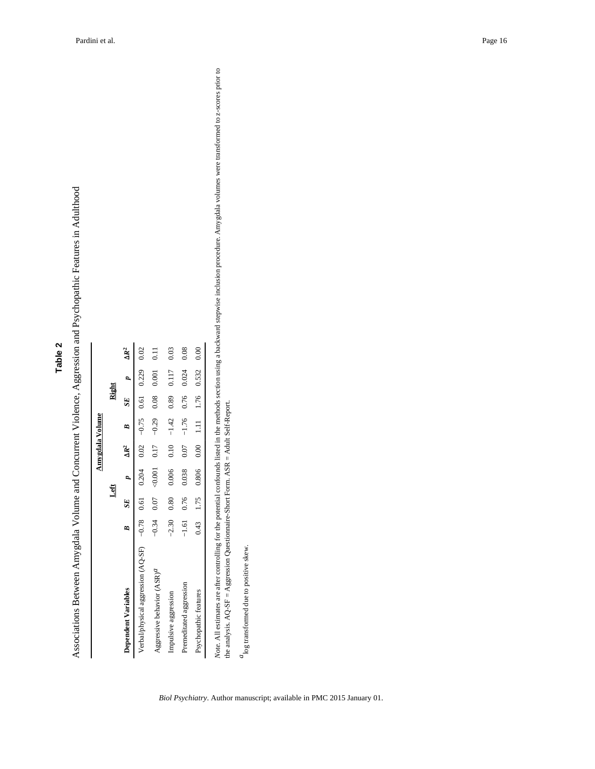| c<br>۷ |  |
|--------|--|
| Φ      |  |
| ۰.     |  |
|        |  |
|        |  |

Associations Between Amygdala Volume and Concurrent Violence, Aggression and Psychopathic Features in Adulthood Associations Between Amygdala Volume and Concurrent Violence, Aggression and Psychopathic Features in Adulthood

|                                                                                |   |              | Left                                                 |                |                         | Right |                       |                |
|--------------------------------------------------------------------------------|---|--------------|------------------------------------------------------|----------------|-------------------------|-------|-----------------------|----------------|
| <b>Dependent Variables</b>                                                     | R | SE           | $\overline{a}$                                       | $\Delta R^2$ B |                         |       | $SE$ $p$ $\Delta R^2$ |                |
| Verbal/physical aggression (AQ-SF) -0.78 0.61 0.204 0.205 0.61 0.61 0.229 0.02 |   |              |                                                      |                |                         |       |                       |                |
| Aggressive behavior (ASR) <sup>a</sup>                                         |   |              | $-0.34$ 0.07 $-0.001$ 0.00 0.00 0.08 0.08 0.000 0.01 |                |                         |       |                       | $\overline{0}$ |
| Impulsive aggression                                                           |   | $-2.30$ 0.80 | 0.006                                                |                | $0.10 - 1.42$ 0.89      |       | 0.117                 | 0.03           |
| Premeditated aggression                                                        |   | $-1.61$ 0.76 | 0.038                                                |                | $0.07$ -1.76 0.76 0.024 |       |                       | 0.08           |
| Psychopathic features                                                          |   |              | $0.43$ 1.75 0.806 0.00 1.11 1.76 0.532 0.00          |                |                         |       |                       |                |

ard stepwise inclusion procedure. Amygdala volumes were transformed to z-scores prior to Note. All estimates are after controlling for the potential confounds listed in the methods section using a backward stepwise inclusion procedure. Amygdala volumes were transformed to z-scores prior to .<br>a  $1000$  and  $1000$  and  $1000$  and  $1000$  and  $1000$  and  $1000$  and  $1000$  and  $1000$  and  $1000$  and  $1000$  and  $1000$  and  $1000$  and  $1000$  and  $1000$  and  $1000$  and  $1000$  and  $1000$  and  $1000$  and  $1000$  and  $1000$  and the analysis. AQ-SF = Aggression Questionnaire-Short Form. ASR = Adult Self-Report.

 $a_{\rm log}$  transformed due to positive skew. *a*log transformed due to positive skew.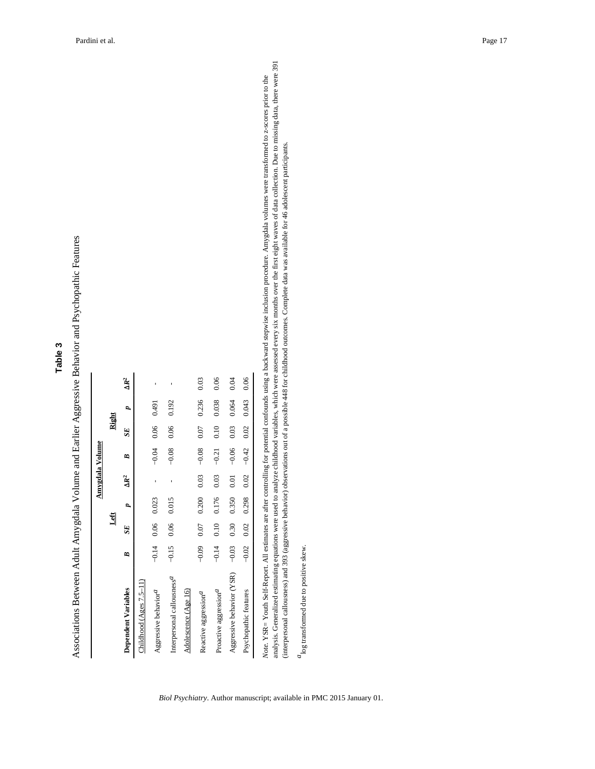Associations Between Adult Amygdala Volume and Earlier Aggressive Behavior and Psychopathic Features Associations Between Adult Amygdala Volume and Earlier Aggressive Behavior and Psychopathic Features

|                                        |         |      |       |              | <b>Anygdala Volume</b>                       |      |       |              |
|----------------------------------------|---------|------|-------|--------------|----------------------------------------------|------|-------|--------------|
|                                        |         |      | Left  |              |                                              |      | Right |              |
| Dependent Variables                    | B       | SE   | p     | $\Delta R^2$ | B                                            | SE   | p     | $\Delta R^2$ |
| Childhood (Ages $7.5-11$ )             |         |      |       |              |                                              |      |       |              |
| Aggressive behavior <sup>a</sup>       | $-0.14$ | 0.06 | 0.023 |              | $-0.04$                                      | 0.06 | 0.491 |              |
| Interpersonal callousness <sup>a</sup> | $-0.15$ | 0.06 | 0.015 |              | $-0.08$                                      | 0.06 | 0.192 | ı            |
| Adolescence (Age 16)                   |         |      |       |              |                                              |      |       |              |
| Reactive aggression <sup>a</sup>       | $-0.09$ | 0.07 | 0.200 | 0.03         | $-0.08$                                      | 0.07 | 0.236 | 0.03         |
| Proactive aggression <sup>a</sup>      | $-0.14$ | 0.10 | 0.176 | 0.03         | $-0.21$                                      | 0.10 | 0.038 | 0.06         |
| Aggressive behavior (YSR)              | $-0.03$ | 0.30 | 0.350 | 0.01         | $-0.06$                                      | 0.03 | 0.064 | 0.04         |
| Psychopathic features                  |         |      |       |              | $-0.02$ $0.02$ $0.298$ $0.02$ $-0.42$ $0.02$ |      | 0.043 | 0.06         |

analysis. Generalized estimating equations were used to analyze childhood variables, which were assessed every six months over the first eight waves of data collection. Due to missing data, there were 391 analysis. Generalized estimating equations were used to analyze childhood variables, which were assessed every six months over the first eight waves of data collection. Due to missing data, there were 391 ising a backward stepwise inclusion procedure. Amygdala volumes were transformed to z-scores prior to the *Note.* YSR= Youth Self-Report. All estimates are after controlling for potential confounds using a backward stepwise inclusion procedure. Amygdala volumes were transformed to z-scores prior to the (interpersonal callousness) and 393 (aggressive behavior) observations out of a possible 448 for childhood outcomes. Complete data was available for 46 adolescent participants. (interpersonal callousness) and 393 (aggressive behavior) observations out of a possible 448 for childhood outcomes. Complete data was available for 46 adolescent participants. controlling for poten  $180te$ .  $15K = 100th$  Self-Keport. All estimates are after

 $a_{\rm log}$  transformed due to positive skew. *a*log transformed due to positive skew.